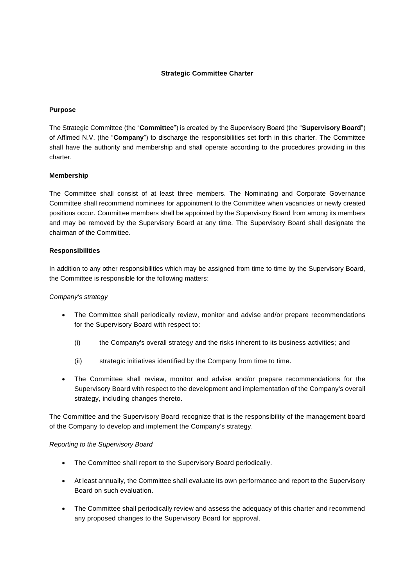# **Strategic Committee Charter**

### **Purpose**

The Strategic Committee (the "**Committee**") is created by the Supervisory Board (the "**Supervisory Board**") of Affimed N.V. (the "**Company**") to discharge the responsibilities set forth in this charter. The Committee shall have the authority and membership and shall operate according to the procedures providing in this charter.

## **Membership**

The Committee shall consist of at least three members. The Nominating and Corporate Governance Committee shall recommend nominees for appointment to the Committee when vacancies or newly created positions occur. Committee members shall be appointed by the Supervisory Board from among its members and may be removed by the Supervisory Board at any time. The Supervisory Board shall designate the chairman of the Committee.

## **Responsibilities**

In addition to any other responsibilities which may be assigned from time to time by the Supervisory Board, the Committee is responsible for the following matters:

### *Company's strategy*

- The Committee shall periodically review, monitor and advise and/or prepare recommendations for the Supervisory Board with respect to:
	- (i) the Company's overall strategy and the risks inherent to its business activities; and
	- (ii) strategic initiatives identified by the Company from time to time.
- The Committee shall review, monitor and advise and/or prepare recommendations for the Supervisory Board with respect to the development and implementation of the Company's overall strategy, including changes thereto.

The Committee and the Supervisory Board recognize that is the responsibility of the management board of the Company to develop and implement the Company's strategy.

#### *Reporting to the Supervisory Board*

- The Committee shall report to the Supervisory Board periodically.
- At least annually, the Committee shall evaluate its own performance and report to the Supervisory Board on such evaluation.
- The Committee shall periodically review and assess the adequacy of this charter and recommend any proposed changes to the Supervisory Board for approval.